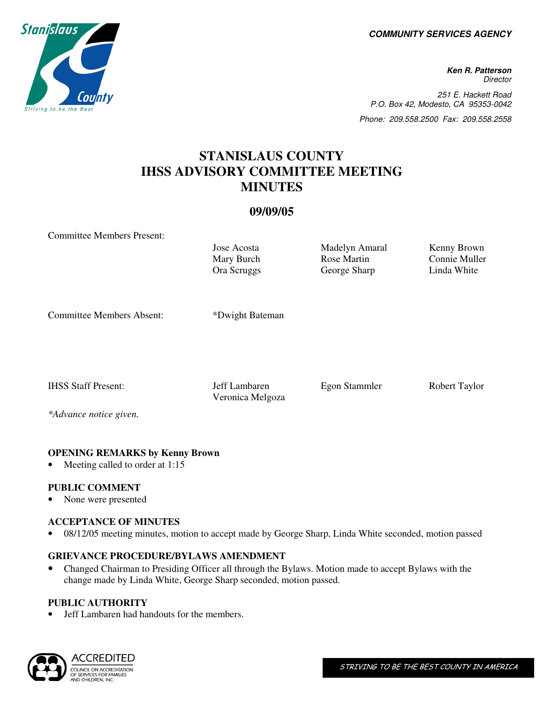**COMMUNITY SERVICES AGENCY** 

**Ken R. Patterson Director** 251 E. Hackett Road P.O. Box 42, Modesto, CA 95353-0042 Phone: 209.558.2500 Fax: 209.558.2558

# **STANISLAUS COUNTY IHSS ADVISORY COMMITTEE MEETING MINUTES**

# **09/09/05**

Committee Members Present:

Mary Burch Ora Scruggs

Jose Acosta Madelyn Amaral Kenny Brown Rose Martin George Sharp

Connie Muller Linda White

Committee Members Absent: \*Dwight Bateman

Veronica Melgoza

IHSS Staff Present: Jeff Lambaren Egon Stammler Robert Taylor

*\*Advance notice given.* 

## **OPENING REMARKS by Kenny Brown**

Meeting called to order at 1:15

## **PUBLIC COMMENT**

• None were presented

#### **ACCEPTANCE OF MINUTES**

• 08/12/05 meeting minutes, motion to accept made by George Sharp, Linda White seconded, motion passed

#### **GRIEVANCE PROCEDURE/BYLAWS AMENDMENT**

• Changed Chairman to Presiding Officer all through the Bylaws. Motion made to accept Bylaws with the change made by Linda White, George Sharp seconded, motion passed.

#### **PUBLIC AUTHORITY**

• Jeff Lambaren had handouts for the members.



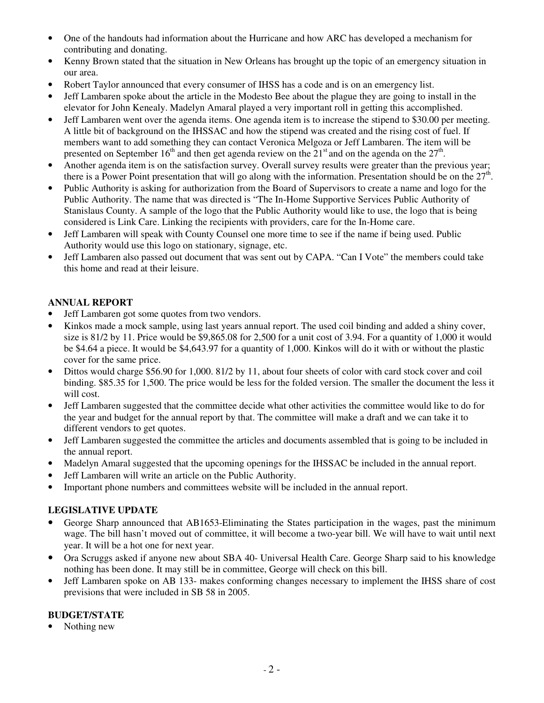- One of the handouts had information about the Hurricane and how ARC has developed a mechanism for contributing and donating.
- Kenny Brown stated that the situation in New Orleans has brought up the topic of an emergency situation in our area.
- Robert Taylor announced that every consumer of IHSS has a code and is on an emergency list.
- Jeff Lambaren spoke about the article in the Modesto Bee about the plague they are going to install in the elevator for John Kenealy. Madelyn Amaral played a very important roll in getting this accomplished.
- Jeff Lambaren went over the agenda items. One agenda item is to increase the stipend to \$30.00 per meeting. A little bit of background on the IHSSAC and how the stipend was created and the rising cost of fuel. If members want to add something they can contact Veronica Melgoza or Jeff Lambaren. The item will be presented on September 16<sup>th</sup> and then get agenda review on the  $21<sup>st</sup>$  and on the agenda on the  $27<sup>th</sup>$ .
- Another agenda item is on the satisfaction survey. Overall survey results were greater than the previous year; there is a Power Point presentation that will go along with the information. Presentation should be on the  $27<sup>th</sup>$ .
- Public Authority is asking for authorization from the Board of Supervisors to create a name and logo for the Public Authority. The name that was directed is "The In-Home Supportive Services Public Authority of Stanislaus County. A sample of the logo that the Public Authority would like to use, the logo that is being considered is Link Care. Linking the recipients with providers, care for the In-Home care.
- Jeff Lambaren will speak with County Counsel one more time to see if the name if being used. Public Authority would use this logo on stationary, signage, etc.
- Jeff Lambaren also passed out document that was sent out by CAPA. "Can I Vote" the members could take this home and read at their leisure.

# **ANNUAL REPORT**

- Jeff Lambaren got some quotes from two vendors.
- Kinkos made a mock sample, using last years annual report. The used coil binding and added a shiny cover, size is 81/2 by 11. Price would be \$9,865.08 for 2,500 for a unit cost of 3.94. For a quantity of 1,000 it would be \$4.64 a piece. It would be \$4,643.97 for a quantity of 1,000. Kinkos will do it with or without the plastic cover for the same price.
- Dittos would charge \$56.90 for 1,000. 81/2 by 11, about four sheets of color with card stock cover and coil binding. \$85.35 for 1,500. The price would be less for the folded version. The smaller the document the less it will cost.
- Jeff Lambaren suggested that the committee decide what other activities the committee would like to do for the year and budget for the annual report by that. The committee will make a draft and we can take it to different vendors to get quotes.
- Jeff Lambaren suggested the committee the articles and documents assembled that is going to be included in the annual report.
- Madelyn Amaral suggested that the upcoming openings for the IHSSAC be included in the annual report.
- Jeff Lambaren will write an article on the Public Authority.
- Important phone numbers and committees website will be included in the annual report.

## **LEGISLATIVE UPDATE**

- George Sharp announced that AB1653-Eliminating the States participation in the wages, past the minimum wage. The bill hasn't moved out of committee, it will become a two-year bill. We will have to wait until next year. It will be a hot one for next year.
- Ora Scruggs asked if anyone new about SBA 40- Universal Health Care. George Sharp said to his knowledge nothing has been done. It may still be in committee, George will check on this bill.
- Jeff Lambaren spoke on AB 133- makes conforming changes necessary to implement the IHSS share of cost previsions that were included in SB 58 in 2005.

## **BUDGET/STATE**

Nothing new